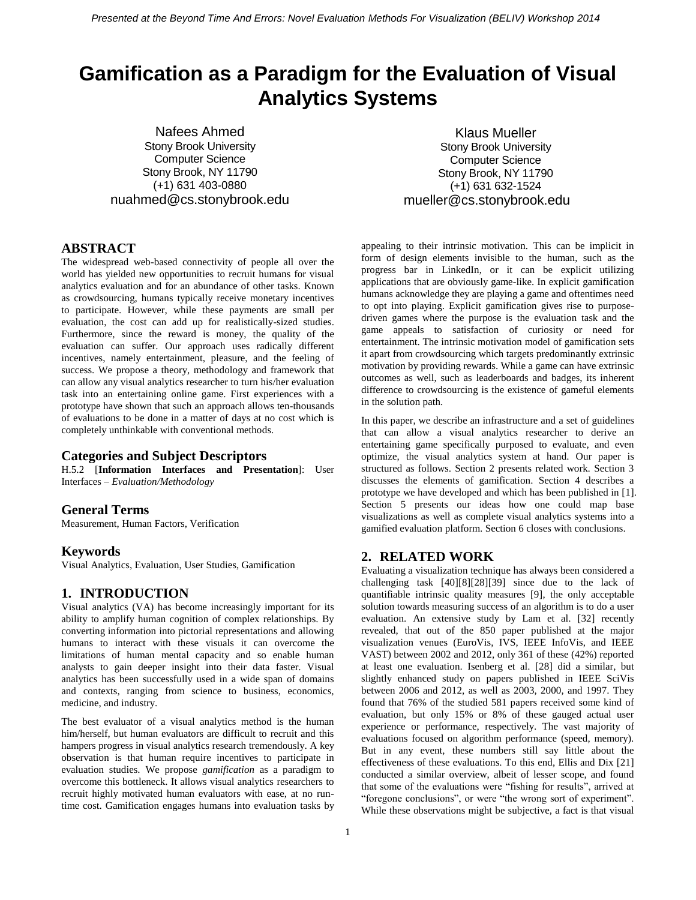# **Gamification as a Paradigm for the Evaluation of Visual Analytics Systems**

Nafees Ahmed Stony Brook University Computer Science Stony Brook, NY 11790 (+1) 631 403-0880 nuahmed@cs.stonybrook.edu

Klaus Mueller Stony Brook University Computer Science Stony Brook, NY 11790 (+1) 631 632-1524 mueller@cs.stonybrook.edu

#### **ABSTRACT**

The widespread web-based connectivity of people all over the world has yielded new opportunities to recruit humans for visual analytics evaluation and for an abundance of other tasks. Known as crowdsourcing, humans typically receive monetary incentives to participate. However, while these payments are small per evaluation, the cost can add up for realistically-sized studies. Furthermore, since the reward is money, the quality of the evaluation can suffer. Our approach uses radically different incentives, namely entertainment, pleasure, and the feeling of success. We propose a theory, methodology and framework that can allow any visual analytics researcher to turn his/her evaluation task into an entertaining online game. First experiences with a prototype have shown that such an approach allows ten-thousands of evaluations to be done in a matter of days at no cost which is completely unthinkable with conventional methods.

#### **Categories and Subject Descriptors**

H.5.2 [**Information Interfaces and Presentation**]: User Interfaces – *Evaluation/Methodology*

## **General Terms**

Measurement, Human Factors, Verification

## **Keywords**

Visual Analytics, Evaluation, User Studies, Gamification

## **1. INTRODUCTION**

Visual analytics (VA) has become increasingly important for its ability to amplify human cognition of complex relationships. By converting information into pictorial representations and allowing humans to interact with these visuals it can overcome the limitations of human mental capacity and so enable human analysts to gain deeper insight into their data faster. Visual analytics has been successfully used in a wide span of domains and contexts, ranging from science to business, economics, medicine, and industry.

The best evaluator of a visual analytics method is the human him/herself, but human evaluators are difficult to recruit and this hampers progress in visual analytics research tremendously. A key observation is that human require incentives to participate in evaluation studies. We propose *gamification* as a paradigm to overcome this bottleneck. It allows visual analytics researchers to recruit highly motivated human evaluators with ease, at no runtime cost. Gamification engages humans into evaluation tasks by

appealing to their intrinsic motivation. This can be implicit in form of design elements invisible to the human, such as the progress bar in LinkedIn, or it can be explicit utilizing applications that are obviously game-like. In explicit gamification humans acknowledge they are playing a game and oftentimes need to opt into playing. Explicit gamification gives rise to purposedriven games where the purpose is the evaluation task and the game appeals to satisfaction of curiosity or need for entertainment. The intrinsic motivation model of gamification sets it apart from crowdsourcing which targets predominantly extrinsic motivation by providing rewards. While a game can have extrinsic outcomes as well, such as leaderboards and badges, its inherent difference to crowdsourcing is the existence of gameful elements in the solution path.

In this paper, we describe an infrastructure and a set of guidelines that can allow a visual analytics researcher to derive an entertaining game specifically purposed to evaluate, and even optimize, the visual analytics system at hand. Our paper is structured as follows. Section 2 presents related work. Section 3 discusses the elements of gamification. Section 4 describes a prototype we have developed and which has been published in [1]. Section 5 presents our ideas how one could map base visualizations as well as complete visual analytics systems into a gamified evaluation platform. Section 6 closes with conclusions.

## **2. RELATED WORK**

Evaluating a visualization technique has always been considered a challenging task [\[40\]\[8\]](#page-7-0)[\[28\]\[39\]](#page-6-0) since due to the lack of quantifiable intrinsic quality measures [\[9\],](#page-6-1) the only acceptable solution towards measuring success of an algorithm is to do a user evaluation. An extensive study by Lam et al. [\[32\]](#page-6-2) recently revealed, that out of the 850 paper published at the major visualization venues (EuroVis, IVS, IEEE InfoVis, and IEEE VAST) between 2002 and 2012, only 361 of these (42%) reported at least one evaluation. Isenberg et al. [\[28\]](#page-6-0) did a similar, but slightly enhanced study on papers published in IEEE SciVis between 2006 and 2012, as well as 2003, 2000, and 1997. They found that 76% of the studied 581 papers received some kind of evaluation, but only 15% or 8% of these gauged actual user experience or performance, respectively. The vast majority of evaluations focused on algorithm performance (speed, memory). But in any event, these numbers still say little about the effectiveness of these evaluations. To this end, Ellis and Dix [\[21\]](#page-6-3) conducted a similar overview, albeit of lesser scope, and found that some of the evaluations were "fishing for results", arrived at "foregone conclusions", or were "the wrong sort of experiment". While these observations might be subjective, a fact is that visual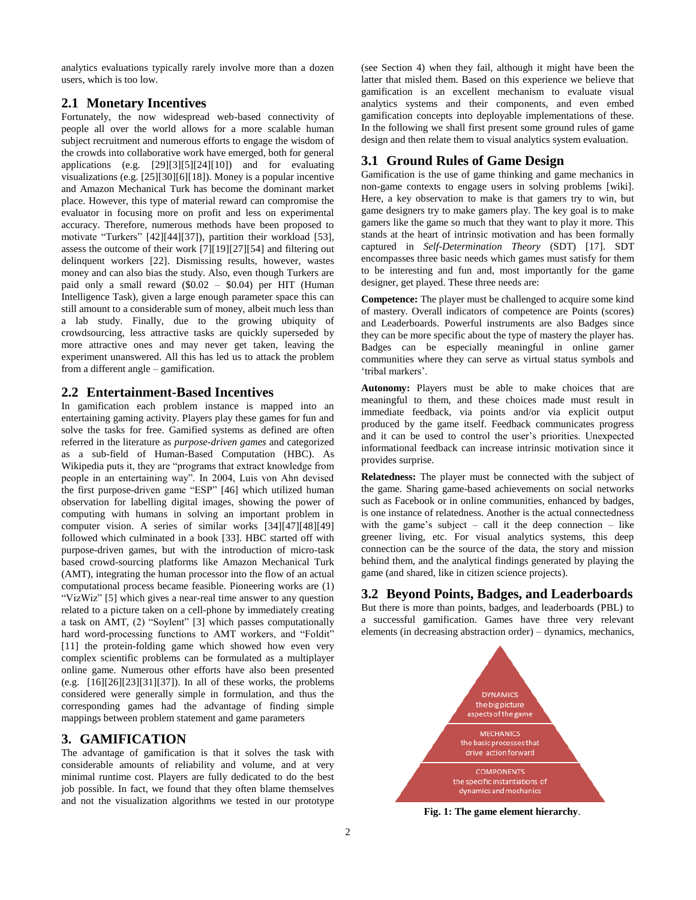analytics evaluations typically rarely involve more than a dozen users, which is too low.

## **2.1 Monetary Incentives**

Fortunately, the now widespread web-based connectivity of people all over the world allows for a more scalable human subject recruitment and numerous efforts to engage the wisdom of the crowds into collaborative work have emerged, both for general applications (e.g. [\[29\]\[3\]](#page-6-4)[\[5\]\[24\]](#page-6-5)[\[10\]\)](#page-6-6) and for evaluating visualizations (e.g. [\[25\]\[30\]](#page-6-7)[\[6\]\[18\]\)](#page-6-8). Money is a popular incentive and Amazon Mechanical Turk has become the dominant market place. However, this type of material reward can compromise the evaluator in focusing more on profit and less on experimental accuracy. Therefore, numerous methods have been proposed to motivate "Turkers" [\[42\]\[44\]](#page-7-1)[\[37\]\)](#page-7-2), partition their workload [\[53\],](#page-7-3) assess the outcome of their wor[k \[7\]\[19\]](#page-6-9)[\[27\]\[54\]](#page-6-10) and filtering out delinquent workers [\[22\].](#page-6-11) Dismissing results, however, wastes money and can also bias the study. Also, even though Turkers are paid only a small reward (\$0.02 – \$0.04) per HIT (Human Intelligence Task), given a large enough parameter space this can still amount to a considerable sum of money, albeit much less than a lab study. Finally, due to the growing ubiquity of crowdsourcing, less attractive tasks are quickly superseded by more attractive ones and may never get taken, leaving the experiment unanswered. All this has led us to attack the problem from a different angle – gamification.

#### **2.2 Entertainment-Based Incentives**

In gamification each problem instance is mapped into an entertaining gaming activity. Players play these games for fun and solve the tasks for free. Gamified systems as defined are often referred in the literature as *purpose-driven games* and categorized as a sub-field of Human-Based Computation (HBC). As Wikipedia puts it, they are "programs that extract knowledge from people in an entertaining way". In 2004, Luis von Ahn devised the first purpose-driven game "ESP" [\[46\]](#page-7-4) which utilized human observation for labelling digital images, showing the power of computing with humans in solving an important problem in computer vision. A series of similar works [\[34\]\[47\]](#page-6-12)[\[48\]\[49\]](#page-7-5) followed which culminated in a book [\[33\].](#page-6-13) HBC started off with purpose-driven games, but with the introduction of micro-task based crowd-sourcing platforms like Amazon Mechanical Turk (AMT), integrating the human processor into the flow of an actual computational process became feasible. Pioneering works are (1) "VizWiz" [\[5\]](#page-6-5) which gives a near-real time answer to any question related to a picture taken on a cell-phone by immediately creating a task on AMT, (2) "Soylent" [\[3\]](#page-6-14) which passes computationally hard word-processing functions to AMT workers, and "Foldit" [\[11\]](#page-6-15) the protein-folding game which showed how even very complex scientific problems can be formulated as a multiplayer online game. Numerous other efforts have also been presented (e.g. [\[16\]\[26\]](#page-6-16)[\[23\]\[31\]](#page-6-17)[\[37\]\)](#page-7-2). In all of these works, the problems considered were generally simple in formulation, and thus the corresponding games had the advantage of finding simple mappings between problem statement and game parameters

# **3. GAMIFICATION**

The advantage of gamification is that it solves the task with considerable amounts of reliability and volume, and at very minimal runtime cost. Players are fully dedicated to do the best job possible. In fact, we found that they often blame themselves and not the visualization algorithms we tested in our prototype

(see Section 4) when they fail, although it might have been the latter that misled them. Based on this experience we believe that gamification is an excellent mechanism to evaluate visual analytics systems and their components, and even embed gamification concepts into deployable implementations of these. In the following we shall first present some ground rules of game design and then relate them to visual analytics system evaluation.

# **3.1 Ground Rules of Game Design**

Gamification is the use of game thinking and game mechanics in non-game contexts to engage users in solving problems [wiki]. Here, a key observation to make is that gamers try to win, but game designers try to make gamers play. The key goal is to make gamers like the game so much that they want to play it more. This stands at the heart of intrinsic motivation and has been formally captured in *Self-Determination Theory* (SDT) [\[17\].](#page-6-18) SDT encompasses three basic needs which games must satisfy for them to be interesting and fun and, most importantly for the game designer, get played. These three needs are:

**Competence:** The player must be challenged to acquire some kind of mastery. Overall indicators of competence are Points (scores) and Leaderboards. Powerful instruments are also Badges since they can be more specific about the type of mastery the player has. Badges can be especially meaningful in online gamer communities where they can serve as virtual status symbols and 'tribal markers'.

**Autonomy:** Players must be able to make choices that are meaningful to them, and these choices made must result in immediate feedback, via points and/or via explicit output produced by the game itself. Feedback communicates progress and it can be used to control the user's priorities. Unexpected informational feedback can increase intrinsic motivation since it provides surprise.

**Relatedness:** The player must be connected with the subject of the game. Sharing game-based achievements on social networks such as Facebook or in online communities, enhanced by badges, is one instance of relatedness. Another is the actual connectedness with the game's subject – call it the deep connection – like greener living, etc. For visual analytics systems, this deep connection can be the source of the data, the story and mission behind them, and the analytical findings generated by playing the game (and shared, like in citizen science projects).

## **3.2 Beyond Points, Badges, and Leaderboards**

But there is more than points, badges, and leaderboards (PBL) to a successful gamification. Games have three very relevant elements (in decreasing abstraction order) – dynamics, mechanics,



**Fig. 1: The game element hierarchy**.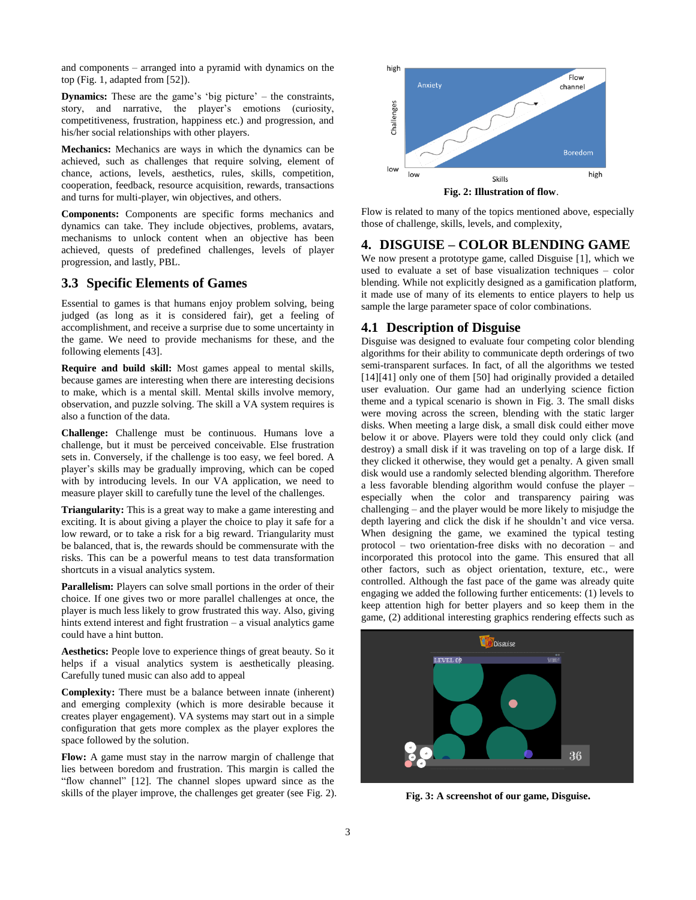and components – arranged into a pyramid with dynamics on the top (Fig. 1, adapted from [\[52\]\)](#page-7-6).

**Dynamics:** These are the game's 'big picture' – the constraints, story, and narrative, the player's emotions (curiosity, competitiveness, frustration, happiness etc.) and progression, and his/her social relationships with other players.

**Mechanics:** Mechanics are ways in which the dynamics can be achieved, such as challenges that require solving, element of chance, actions, levels, aesthetics, rules, skills, competition, cooperation, feedback, resource acquisition, rewards, transactions and turns for multi-player, win objectives, and others.

**Components:** Components are specific forms mechanics and dynamics can take. They include objectives, problems, avatars, mechanisms to unlock content when an objective has been achieved, quests of predefined challenges, levels of player progression, and lastly, PBL.

# **3.3 Specific Elements of Games**

Essential to games is that humans enjoy problem solving, being judged (as long as it is considered fair), get a feeling of accomplishment, and receive a surprise due to some uncertainty in the game. We need to provide mechanisms for these, and the following elements [\[43\].](#page-7-7)

**Require and build skill:** Most games appeal to mental skills, because games are interesting when there are interesting decisions to make, which is a mental skill. Mental skills involve memory, observation, and puzzle solving. The skill a VA system requires is also a function of the data.

**Challenge:** Challenge must be continuous. Humans love a challenge, but it must be perceived conceivable. Else frustration sets in. Conversely, if the challenge is too easy, we feel bored. A player's skills may be gradually improving, which can be coped with by introducing levels. In our VA application, we need to measure player skill to carefully tune the level of the challenges.

**Triangularity:** This is a great way to make a game interesting and exciting. It is about giving a player the choice to play it safe for a low reward, or to take a risk for a big reward. Triangularity must be balanced, that is, the rewards should be commensurate with the risks. This can be a powerful means to test data transformation shortcuts in a visual analytics system.

**Parallelism:** Players can solve small portions in the order of their choice. If one gives two or more parallel challenges at once, the player is much less likely to grow frustrated this way. Also, giving hints extend interest and fight frustration – a visual analytics game could have a hint button.

**Aesthetics:** People love to experience things of great beauty. So it helps if a visual analytics system is aesthetically pleasing. Carefully tuned music can also add to appeal

**Complexity:** There must be a balance between innate (inherent) and emerging complexity (which is more desirable because it creates player engagement). VA systems may start out in a simple configuration that gets more complex as the player explores the space followed by the solution.

**Flow:** A game must stay in the narrow margin of challenge that lies between boredom and frustration. This margin is called the "flow channel" [\[12\].](#page-6-19) The channel slopes upward since as the skills of the player improve, the challenges get greater (see Fig. 2).



Flow is related to many of the topics mentioned above, especially those of challenge, skills, levels, and complexity,

## **4. DISGUISE – COLOR BLENDING GAME**

We now present a prototype game, called Disguise [\[1\],](#page-6-20) which we used to evaluate a set of base visualization techniques – color blending. While not explicitly designed as a gamification platform, it made use of many of its elements to entice players to help us sample the large parameter space of color combinations.

## **4.1 Description of Disguise**

Disguise was designed to evaluate four competing color blending algorithms for their ability to communicate depth orderings of two semi-transparent surfaces. In fact, of all the algorithms we tested [\[14\]\[41\]](#page-6-21) only one of them [\[50\]](#page-7-8) had originally provided a detailed user evaluation. Our game had an underlying science fiction theme and a typical scenario is shown in Fig. 3. The small disks were moving across the screen, blending with the static larger disks. When meeting a large disk, a small disk could either move below it or above. Players were told they could only click (and destroy) a small disk if it was traveling on top of a large disk. If they clicked it otherwise, they would get a penalty. A given small disk would use a randomly selected blending algorithm. Therefore a less favorable blending algorithm would confuse the player – especially when the color and transparency pairing was challenging – and the player would be more likely to misjudge the depth layering and click the disk if he shouldn't and vice versa. When designing the game, we examined the typical testing protocol – two orientation-free disks with no decoration – and incorporated this protocol into the game. This ensured that all other factors, such as object orientation, texture, etc., were controlled. Although the fast pace of the game was already quite engaging we added the following further enticements: (1) levels to keep attention high for better players and so keep them in the game, (2) additional interesting graphics rendering effects such as



**Fig. 3: A screenshot of our game, Disguise.**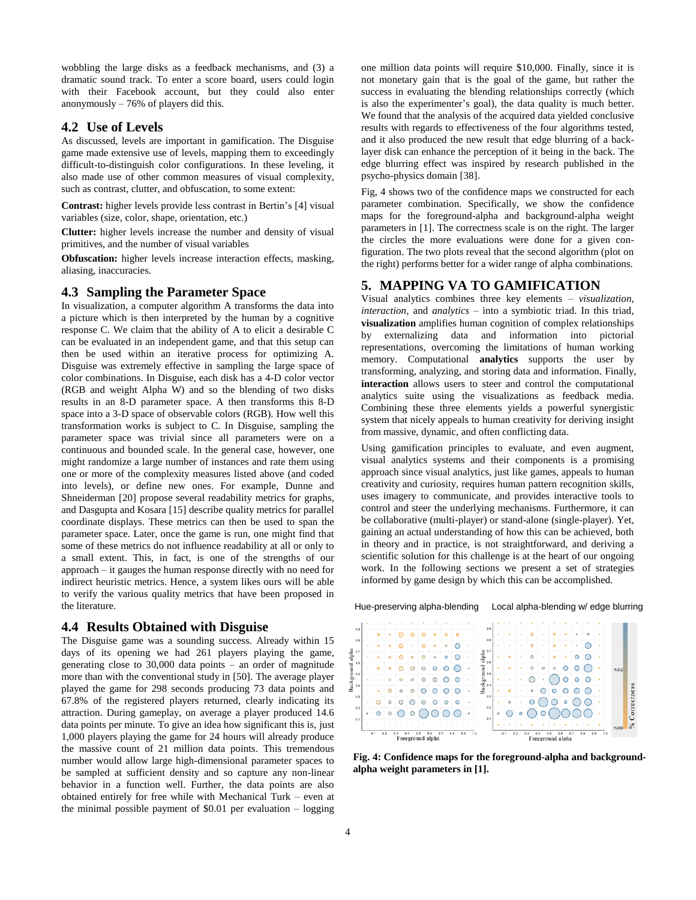wobbling the large disks as a feedback mechanisms, and (3) a dramatic sound track. To enter a score board, users could login with their Facebook account, but they could also enter anonymously – 76% of players did this.

#### **4.2 Use of Levels**

As discussed, levels are important in gamification. The Disguise game made extensive use of levels, mapping them to exceedingly difficult-to-distinguish color configurations. In these leveling, it also made use of other common measures of visual complexity, such as contrast, clutter, and obfuscation, to some extent:

**Contrast:** higher levels provide less contrast in Bertin's [\[4\]](#page-6-22) visual variables (size, color, shape, orientation, etc.)

**Clutter:** higher levels increase the number and density of visual primitives, and the number of visual variables

**Obfuscation:** higher levels increase interaction effects, masking, aliasing, inaccuracies.

#### **4.3 Sampling the Parameter Space**

In visualization, a computer algorithm A transforms the data into a picture which is then interpreted by the human by a cognitive response C. We claim that the ability of A to elicit a desirable C can be evaluated in an independent game, and that this setup can then be used within an iterative process for optimizing A. Disguise was extremely effective in sampling the large space of color combinations. In Disguise, each disk has a 4-D color vector (RGB and weight Alpha W) and so the blending of two disks results in an 8-D parameter space. A then transforms this 8-D space into a 3-D space of observable colors (RGB). How well this transformation works is subject to C. In Disguise, sampling the parameter space was trivial since all parameters were on a continuous and bounded scale. In the general case, however, one might randomize a large number of instances and rate them using one or more of the complexity measures listed above (and coded into levels), or define new ones. For example, Dunne and Shneiderman [\[20\]](#page-6-23) propose several readability metrics for graphs, and Dasgupta and Kosar[a \[15\]](#page-6-24) describe quality metrics for parallel coordinate displays. These metrics can then be used to span the parameter space. Later, once the game is run, one might find that some of these metrics do not influence readability at all or only to a small extent. This, in fact, is one of the strengths of our approach – it gauges the human response directly with no need for indirect heuristic metrics. Hence, a system likes ours will be able to verify the various quality metrics that have been proposed in the literature.

#### **4.4 Results Obtained with Disguise**

The Disguise game was a sounding success. Already within 15 days of its opening we had 261 players playing the game, generating close to 30,000 data points – an order of magnitude more than with the conventional study in [\[50\].](#page-7-8) The average player played the game for 298 seconds producing 73 data points and 67.8% of the registered players returned, clearly indicating its attraction. During gameplay, on average a player produced 14.6 data points per minute. To give an idea how significant this is, just 1,000 players playing the game for 24 hours will already produce the massive count of 21 million data points. This tremendous number would allow large high-dimensional parameter spaces to be sampled at sufficient density and so capture any non-linear behavior in a function well. Further, the data points are also obtained entirely for free while with Mechanical Turk – even at the minimal possible payment of \$0.01 per evaluation – logging

one million data points will require \$10,000. Finally, since it is not monetary gain that is the goal of the game, but rather the success in evaluating the blending relationships correctly (which is also the experimenter's goal), the data quality is much better. We found that the analysis of the acquired data yielded conclusive results with regards to effectiveness of the four algorithms tested, and it also produced the new result that edge blurring of a backlayer disk can enhance the perception of it being in the back. The edge blurring effect was inspired by research published in the psycho-physics domai[n \[38\].](#page-7-9)

Fig, 4 shows two of the confidence maps we constructed for each parameter combination. Specifically, we show the confidence maps for the foreground-alpha and background-alpha weight parameters in [\[1\].](#page-6-20) The correctness scale is on the right. The larger the circles the more evaluations were done for a given configuration. The two plots reveal that the second algorithm (plot on the right) performs better for a wider range of alpha combinations.

#### **5. MAPPING VA TO GAMIFICATION**

Visual analytics combines three key elements – *visualization*, *interaction*, and *analytics* – into a symbiotic triad. In this triad, **visualization** amplifies human cognition of complex relationships by externalizing data and information into pictorial representations, overcoming the limitations of human working memory. Computational **analytics** supports the user by transforming, analyzing, and storing data and information. Finally, **interaction** allows users to steer and control the computational analytics suite using the visualizations as feedback media. Combining these three elements yields a powerful synergistic system that nicely appeals to human creativity for deriving insight from massive, dynamic, and often conflicting data.

Using gamification principles to evaluate, and even augment, visual analytics systems and their components is a promising approach since visual analytics, just like games, appeals to human creativity and curiosity, requires human pattern recognition skills, uses imagery to communicate, and provides interactive tools to control and steer the underlying mechanisms. Furthermore, it can be collaborative (multi-player) or stand-alone (single-player). Yet, gaining an actual understanding of how this can be achieved, both in theory and in practice, is not straightforward, and deriving a scientific solution for this challenge is at the heart of our ongoing work. In the following sections we present a set of strategies informed by game design by which this can be accomplished.

Hue-preserving alpha-blending Local alpha-blending w/ edge blurring



**Fig. 4: Confidence maps for the foreground-alpha and backgroundalpha weight parameters in [\[1\].](#page-6-20)**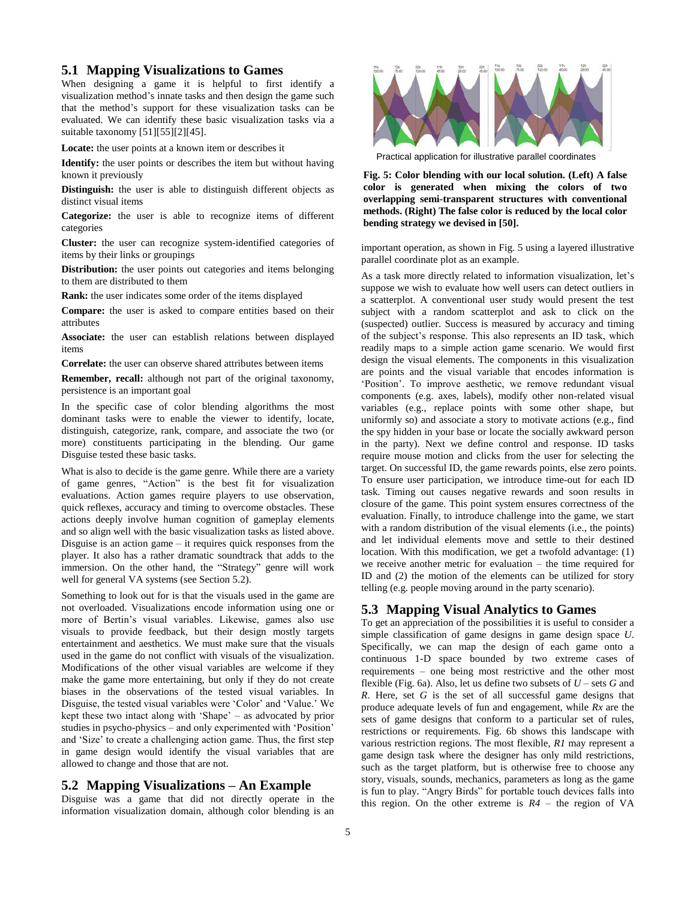#### **5.1 Mapping Visualizations to Games**

When designing a game it is helpful to first identify a visualization method's innate tasks and then design the game such that the method's support for these visualization tasks can be evaluated. We can identify these basic visualization tasks via a suitable taxonomy [\[51\]\[55\]](#page-7-10)[\[2\]\[45\].](#page-6-25)

**Locate:** the user points at a known item or describes it

**Identify:** the user points or describes the item but without having known it previously

**Distinguish:** the user is able to distinguish different objects as distinct visual items

**Categorize:** the user is able to recognize items of different categories

**Cluster:** the user can recognize system-identified categories of items by their links or groupings

**Distribution:** the user points out categories and items belonging to them are distributed to them

**Rank:** the user indicates some order of the items displayed

**Compare:** the user is asked to compare entities based on their attributes

**Associate:** the user can establish relations between displayed items

**Correlate:** the user can observe shared attributes between items

**Remember, recall:** although not part of the original taxonomy, persistence is an important goal

In the specific case of color blending algorithms the most dominant tasks were to enable the viewer to identify, locate, distinguish, categorize, rank, compare, and associate the two (or more) constituents participating in the blending. Our game Disguise tested these basic tasks.

What is also to decide is the game genre. While there are a variety of game genres, "Action" is the best fit for visualization evaluations. Action games require players to use observation, quick reflexes, accuracy and timing to overcome obstacles. These actions deeply involve human cognition of gameplay elements and so align well with the basic visualization tasks as listed above. Disguise is an action game – it requires quick responses from the player. It also has a rather dramatic soundtrack that adds to the immersion. On the other hand, the "Strategy" genre will work well for general VA systems (see Section 5.2).

Something to look out for is that the visuals used in the game are not overloaded. Visualizations encode information using one or more of Bertin's visual variables. Likewise, games also use visuals to provide feedback, but their design mostly targets entertainment and aesthetics. We must make sure that the visuals used in the game do not conflict with visuals of the visualization. Modifications of the other visual variables are welcome if they make the game more entertaining, but only if they do not create biases in the observations of the tested visual variables. In Disguise, the tested visual variables were 'Color' and 'Value.' We kept these two intact along with 'Shape' – as advocated by prior studies in psycho-physics – and only experimented with 'Position' and 'Size' to create a challenging action game. Thus, the first step in game design would identify the visual variables that are allowed to change and those that are not.

#### **5.2 Mapping Visualizations – An Example**

Disguise was a game that did not directly operate in the information visualization domain, although color blending is an



Practical application for illustrative parallel coordinates

**Fig. 5: Color blending with our local solution. (Left) A false color is generated when mixing the colors of two overlapping semi-transparent structures with conventional methods. (Right) The false color is reduced by the local color bending strategy we devised in [\[50\].](#page-7-8)**

important operation, as shown in Fig. 5 using a layered illustrative parallel coordinate plot as an example.

As a task more directly related to information visualization, let's suppose we wish to evaluate how well users can detect outliers in a scatterplot. A conventional user study would present the test subject with a random scatterplot and ask to click on the (suspected) outlier. Success is measured by accuracy and timing of the subject's response. This also represents an ID task, which readily maps to a simple action game scenario. We would first design the visual elements. The components in this visualization are points and the visual variable that encodes information is 'Position'. To improve aesthetic, we remove redundant visual components (e.g. axes, labels), modify other non-related visual variables (e.g., replace points with some other shape, but uniformly so) and associate a story to motivate actions (e.g., find the spy hidden in your base or locate the socially awkward person in the party). Next we define control and response. ID tasks require mouse motion and clicks from the user for selecting the target. On successful ID, the game rewards points, else zero points. To ensure user participation, we introduce time-out for each ID task. Timing out causes negative rewards and soon results in closure of the game. This point system ensures correctness of the evaluation. Finally, to introduce challenge into the game, we start with a random distribution of the visual elements (i.e., the points) and let individual elements move and settle to their destined location. With this modification, we get a twofold advantage: (1) we receive another metric for evaluation – the time required for ID and (2) the motion of the elements can be utilized for story telling (e.g. people moving around in the party scenario).

## **5.3 Mapping Visual Analytics to Games**

To get an appreciation of the possibilities it is useful to consider a simple classification of game designs in game design space *U*. Specifically, we can map the design of each game onto a continuous 1-D space bounded by two extreme cases of requirements – one being most restrictive and the other most flexible (Fig. 6a). Also, let us define two subsets of *U* – sets *G* and *R*. Here, set *G* is the set of all successful game designs that produce adequate levels of fun and engagement, while *Rx* are the sets of game designs that conform to a particular set of rules, restrictions or requirements. Fig. 6b shows this landscape with various restriction regions. The most flexible, *R1* may represent a game design task where the designer has only mild restrictions, such as the target platform, but is otherwise free to choose any story, visuals, sounds, mechanics, parameters as long as the game is fun to play. "Angry Birds" for portable touch devices falls into this region. On the other extreme is *R4* – the region of VA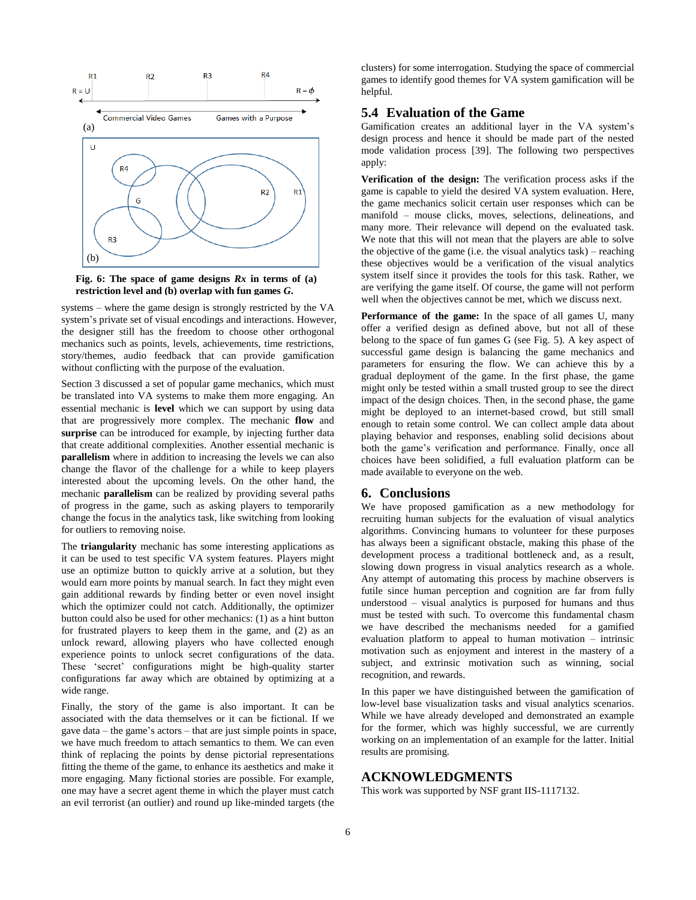

**Fig. 6: The space of game designs** *Rx* **in terms of (a) restriction level and (b) overlap with fun games** *G***.** 

systems – where the game design is strongly restricted by the VA system's private set of visual encodings and interactions. However, the designer still has the freedom to choose other orthogonal mechanics such as points, levels, achievements, time restrictions, story/themes, audio feedback that can provide gamification without conflicting with the purpose of the evaluation.

Section 3 discussed a set of popular game mechanics, which must be translated into VA systems to make them more engaging. An essential mechanic is **level** which we can support by using data that are progressively more complex. The mechanic **flow** and **surprise** can be introduced for example, by injecting further data that create additional complexities. Another essential mechanic is **parallelism** where in addition to increasing the levels we can also change the flavor of the challenge for a while to keep players interested about the upcoming levels. On the other hand, the mechanic **parallelism** can be realized by providing several paths of progress in the game, such as asking players to temporarily change the focus in the analytics task, like switching from looking for outliers to removing noise.

The **triangularity** mechanic has some interesting applications as it can be used to test specific VA system features. Players might use an optimize button to quickly arrive at a solution, but they would earn more points by manual search. In fact they might even gain additional rewards by finding better or even novel insight which the optimizer could not catch. Additionally, the optimizer button could also be used for other mechanics: (1) as a hint button for frustrated players to keep them in the game, and (2) as an unlock reward, allowing players who have collected enough experience points to unlock secret configurations of the data. These 'secret' configurations might be high-quality starter configurations far away which are obtained by optimizing at a wide range.

Finally, the story of the game is also important. It can be associated with the data themselves or it can be fictional. If we gave data – the game's actors – that are just simple points in space, we have much freedom to attach semantics to them. We can even think of replacing the points by dense pictorial representations fitting the theme of the game, to enhance its aesthetics and make it more engaging. Many fictional stories are possible. For example, one may have a secret agent theme in which the player must catch an evil terrorist (an outlier) and round up like-minded targets (the

clusters) for some interrogation. Studying the space of commercial games to identify good themes for VA system gamification will be helpful.

#### **5.4 Evaluation of the Game**

Gamification creates an additional layer in the VA system's design process and hence it should be made part of the nested mode validation process [\[39\].](#page-7-11) The following two perspectives apply:

**Verification of the design:** The verification process asks if the game is capable to yield the desired VA system evaluation. Here, the game mechanics solicit certain user responses which can be manifold – mouse clicks, moves, selections, delineations, and many more. Their relevance will depend on the evaluated task. We note that this will not mean that the players are able to solve the objective of the game (i.e. the visual analytics task) – reaching these objectives would be a verification of the visual analytics system itself since it provides the tools for this task. Rather, we are verifying the game itself. Of course, the game will not perform well when the objectives cannot be met, which we discuss next.

**Performance of the game:** In the space of all games U, many offer a verified design as defined above, but not all of these belong to the space of fun games G (see Fig. 5). A key aspect of successful game design is balancing the game mechanics and parameters for ensuring the flow. We can achieve this by a gradual deployment of the game. In the first phase, the game might only be tested within a small trusted group to see the direct impact of the design choices. Then, in the second phase, the game might be deployed to an internet-based crowd, but still small enough to retain some control. We can collect ample data about playing behavior and responses, enabling solid decisions about both the game's verification and performance. Finally, once all choices have been solidified, a full evaluation platform can be made available to everyone on the web.

#### **6. Conclusions**

We have proposed gamification as a new methodology for recruiting human subjects for the evaluation of visual analytics algorithms. Convincing humans to volunteer for these purposes has always been a significant obstacle, making this phase of the development process a traditional bottleneck and, as a result, slowing down progress in visual analytics research as a whole. Any attempt of automating this process by machine observers is futile since human perception and cognition are far from fully understood – visual analytics is purposed for humans and thus must be tested with such. To overcome this fundamental chasm we have described the mechanisms needed for a gamified evaluation platform to appeal to human motivation – intrinsic motivation such as enjoyment and interest in the mastery of a subject, and extrinsic motivation such as winning, social recognition, and rewards.

In this paper we have distinguished between the gamification of low-level base visualization tasks and visual analytics scenarios. While we have already developed and demonstrated an example for the former, which was highly successful, we are currently working on an implementation of an example for the latter. Initial results are promising.

## **ACKNOWLEDGMENTS**

This work was supported by NSF grant IIS-1117132.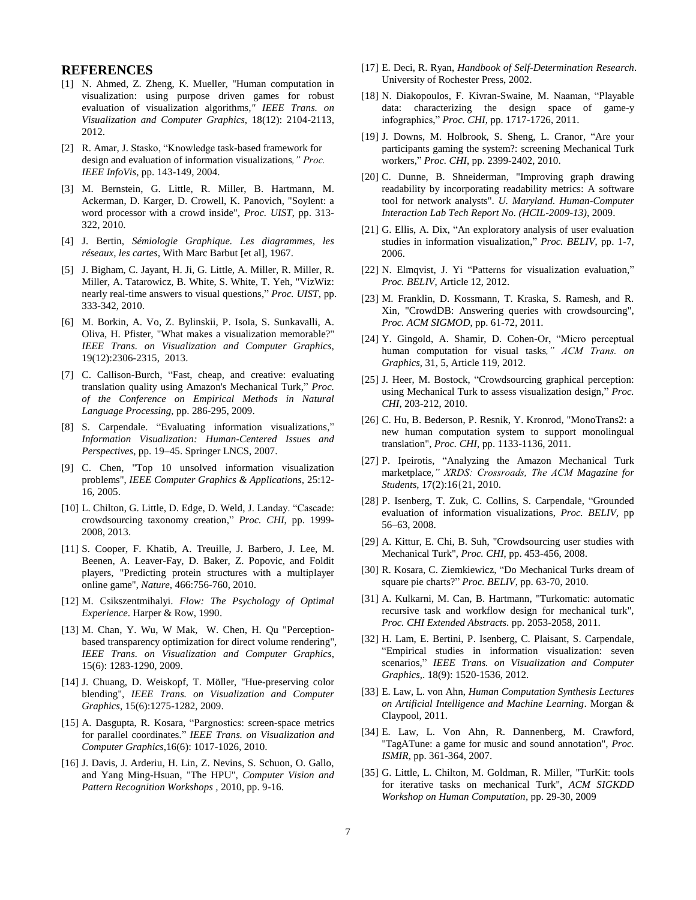#### **REFERENCES**

- <span id="page-6-20"></span>[1] N. Ahmed, Z. Zheng, K. Mueller, "Human computation in visualization: using purpose driven games for robust evaluation of visualization algorithms*," IEEE Trans. on Visualization and Computer Graphics,* 18(12): 2104-2113, 2012.
- <span id="page-6-25"></span>[2] R. Amar, J. Stasko, "Knowledge task-based framework for design and evaluation of information visualizations*," Proc. IEEE InfoVis*, pp. 143-149, 2004.
- <span id="page-6-14"></span>[3] M. Bernstein, G. Little, R. Miller, B. Hartmann, M. Ackerman, D. Karger, D. Crowell, K. Panovich, "Soylent: a word processor with a crowd inside", *Proc. UIST*, pp. 313- 322, 2010.
- <span id="page-6-22"></span>[4] J. Bertin, *Sémiologie Graphique. Les diagrammes, les réseaux, les cartes,* With Marc Barbut [et al], 1967.
- <span id="page-6-5"></span>[5] J. Bigham, C. Jayant, H. Ji, G. Little, A. Miller, R. Miller, R. Miller, A. Tatarowicz, B. White, S. White, T. Yeh, "VizWiz: nearly real-time answers to visual questions," *Proc. UIST*, pp. 333-342, 2010.
- <span id="page-6-8"></span>[6] M. Borkin, A. Vo, Z. Bylinskii, P. Isola, S. Sunkavalli, A. Oliva, H. Pfister, "What makes a visualization memorable?" *IEEE Trans. on Visualization and Computer Graphics,* 19(12):2306-2315, 2013.
- <span id="page-6-9"></span>[7] C. Callison-Burch, "Fast, cheap, and creative: evaluating translation quality using Amazon's Mechanical Turk," *Proc. of the Conference on Empirical Methods in Natural Language Processing*, pp. 286-295, 2009.
- [8] S. Carpendale. "Evaluating information visualizations," *Information Visualization: Human-Centered Issues and Perspectives*, pp. 19–45. Springer LNCS, 2007.
- <span id="page-6-1"></span>[9] C. Chen, "Top 10 unsolved information visualization problems", *IEEE Computer Graphics & Applications,* 25:12- 16, 2005.
- <span id="page-6-6"></span>[10] L. Chilton, G. Little, D. Edge, D. Weld, J. Landay. "Cascade: crowdsourcing taxonomy creation," *Proc. CHI*, pp. 1999- 2008, 2013.
- <span id="page-6-15"></span>[11] S. Cooper, F. Khatib, A. Treuille, J. Barbero, J. Lee, M. Beenen, A. Leaver-Fay, D. Baker, Z. Popovic, and Foldit players, "Predicting protein structures with a multiplayer online game", *Nature,* 466:756-760, 2010.
- <span id="page-6-19"></span>[12] M. Csikszentmihalyi. *Flow: The Psychology of Optimal Experience*. Harper & Row, 1990.
- [13] M. Chan, Y. Wu, W Mak, W. Chen, H. Qu "Perceptionbased transparency optimization for direct volume rendering", *IEEE Trans. on Visualization and Computer Graphics*, 15(6): 1283-1290, 2009.
- <span id="page-6-21"></span>[14] J. Chuang, D. Weiskopf, T. Möller, "Hue-preserving color blending", *IEEE Trans. on Visualization and Computer Graphics*, 15(6):1275-1282, 2009.
- <span id="page-6-24"></span>[15] A. Dasgupta, R. Kosara, "Pargnostics: screen-space metrics for parallel coordinates." *IEEE Trans. on Visualization and Computer Graphics*,16(6): 1017-1026, 2010.
- <span id="page-6-16"></span>[16] J. Davis, J. Arderiu, H. Lin, Z. Nevins, S. Schuon, O. Gallo, and Yang Ming-Hsuan, "The HPU", *Computer Vision and Pattern Recognition Workshops ,* 2010, pp. 9-16.
- <span id="page-6-18"></span>[17] E. Deci, R. Ryan, *Handbook of Self-Determination Research*. University of Rochester Press, 2002.
- [18] N. Diakopoulos, F. Kivran-Swaine, M. Naaman, "Playable data: characterizing the design space of game-y infographics," *Proc. CHI*, pp. 1717-1726, 2011.
- [19] J. Downs, M. Holbrook, S. Sheng, L. Cranor, "Are your participants gaming the system?: screening Mechanical Turk workers," *Proc. CHI*, pp. 2399-2402, 2010.
- <span id="page-6-23"></span>[20] C. Dunne, B. Shneiderman, "Improving graph drawing readability by incorporating readability metrics: A software tool for network analysts". *U. Maryland. Human-Computer Interaction Lab Tech Report No. (HCIL-2009-13),* 2009.
- <span id="page-6-3"></span>[21] G. Ellis, A. Dix, "An exploratory analysis of user evaluation studies in information visualization," *Proc. BELIV*, pp. 1-7, 2006.
- <span id="page-6-11"></span>[22] N. Elmqvist, J. Yi "Patterns for visualization evaluation," *Proc. BELIV*, Article 12, 2012.
- <span id="page-6-17"></span>[23] M. Franklin, D. Kossmann, T. Kraska, S. Ramesh, and R. Xin, "CrowdDB: Answering queries with crowdsourcing", *Proc. ACM SIGMOD*, pp. 61-72, 2011.
- [24] Y. Gingold, A. Shamir, D. Cohen-Or, "Micro perceptual human computation for visual tasks*," ACM Trans. on Graphics,* 31, 5, Article 119, 2012.
- <span id="page-6-7"></span>[25] J. Heer, M. Bostock, "Crowdsourcing graphical perception: using Mechanical Turk to assess visualization design," *Proc. CHI*, 203-212, 2010.
- [26] C. Hu, B. Bederson, P. Resnik, Y. Kronrod, "MonoTrans2: a new human computation system to support monolingual translation", *Proc. CHI*, pp. 1133-1136, 2011.
- <span id="page-6-10"></span>[27] P. Ipeirotis, "Analyzing the Amazon Mechanical Turk marketplace*," XRDS: Crossroads, The ACM Magazine for Students,* 17(2):16{21, 2010.
- <span id="page-6-0"></span>[28] P. Isenberg, T. Zuk, C. Collins, S. Carpendale, "Grounded evaluation of information visualizations, *Proc. BELIV*, pp 56–63, 2008.
- <span id="page-6-4"></span>[29] A. Kittur, E. Chi, B. Suh, "Crowdsourcing user studies with Mechanical Turk", *Proc. CHI*, pp. 453-456, 2008.
- [30] R. Kosara, C. Ziemkiewicz, "Do Mechanical Turks dream of square pie charts?" *Proc. BELIV*, pp. 63-70, 2010.
- [31] A. Kulkarni, M. Can, B. Hartmann, "Turkomatic: automatic recursive task and workflow design for mechanical turk", *Proc. CHI Extended Abstracts*. pp. 2053-2058, 2011.
- <span id="page-6-2"></span>[32] H. Lam, E. Bertini, P. Isenberg, C. Plaisant, S. Carpendale, "Empirical studies in information visualization: seven scenarios," *IEEE Trans. on Visualization and Computer Graphics,*. 18(9): 1520-1536, 2012.
- <span id="page-6-13"></span>[33] E. Law, L. von Ahn, *Human Computation Synthesis Lectures on Artificial Intelligence and Machine Learning*. Morgan & Claypool, 2011.
- <span id="page-6-12"></span>[34] E. Law, L. Von Ahn, R. Dannenberg, M. Crawford, "TagATune: a game for music and sound annotation", *Proc. ISMIR*, pp. 361-364, 2007.
- [35] G. Little, L. Chilton, M. Goldman, R. Miller, "TurKit: tools for iterative tasks on mechanical Turk", *ACM SIGKDD Workshop on Human Computation,* pp. 29-30, 2009